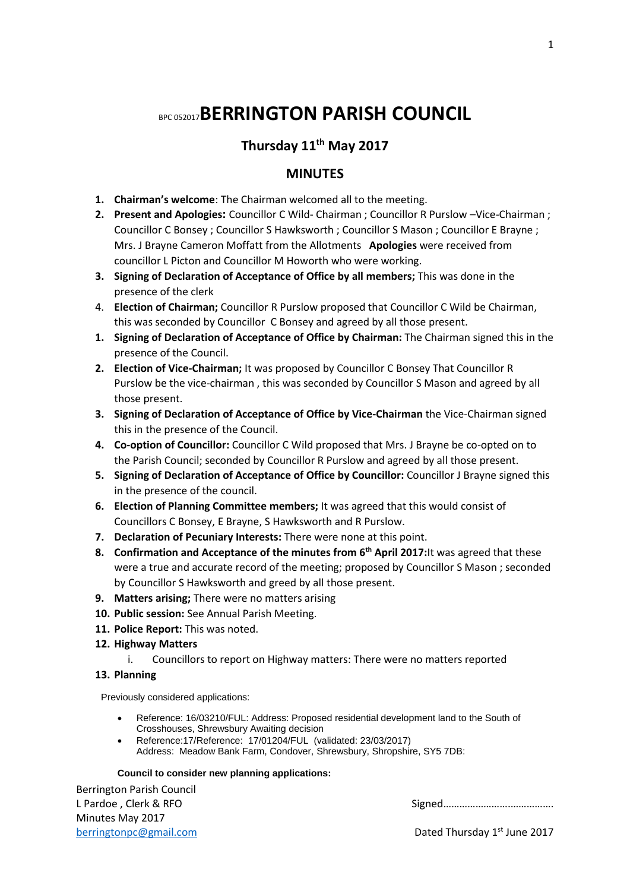# BPC 052017**BERRINGTON PARISH COUNCIL**

# **Thursday 11th May 2017**

# **MINUTES**

- **1. Chairman's welcome**: The Chairman welcomed all to the meeting.
- **2. Present and Apologies:** Councillor C Wild- Chairman ; Councillor R Purslow –Vice-Chairman ; Councillor C Bonsey ; Councillor S Hawksworth ; Councillor S Mason ; Councillor E Brayne ; Mrs. J Brayne Cameron Moffatt from the Allotments **Apologies** were received from councillor L Picton and Councillor M Howorth who were working.
- **3. Signing of Declaration of Acceptance of Office by all members;** This was done in the presence of the clerk
- 4. **Election of Chairman;** Councillor R Purslow proposed that Councillor C Wild be Chairman, this was seconded by Councillor C Bonsey and agreed by all those present.
- **1. Signing of Declaration of Acceptance of Office by Chairman:** The Chairman signed this in the presence of the Council.
- **2. Election of Vice-Chairman;** It was proposed by Councillor C Bonsey That Councillor R Purslow be the vice-chairman , this was seconded by Councillor S Mason and agreed by all those present.
- **3. Signing of Declaration of Acceptance of Office by Vice-Chairman** the Vice-Chairman signed this in the presence of the Council.
- **4. Co-option of Councillor:** Councillor C Wild proposed that Mrs. J Brayne be co-opted on to the Parish Council; seconded by Councillor R Purslow and agreed by all those present.
- **5. Signing of Declaration of Acceptance of Office by Councillor:** Councillor J Brayne signed this in the presence of the council.
- **6. Election of Planning Committee members;** It was agreed that this would consist of Councillors C Bonsey, E Brayne, S Hawksworth and R Purslow.
- **7. Declaration of Pecuniary Interests:** There were none at this point.
- **8. Confirmation and Acceptance of the minutes from 6th April 2017:**It was agreed that these were a true and accurate record of the meeting; proposed by Councillor S Mason ; seconded by Councillor S Hawksworth and greed by all those present.
- **9. Matters arising;** There were no matters arising
- **10. Public session:** See Annual Parish Meeting.
- **11. Police Report:** This was noted.
- **12. Highway Matters**
	- i. Councillors to report on Highway matters: There were no matters reported

## **13. Planning**

Previously considered applications:

- Reference: 16/03210/FUL: Address: Proposed residential development land to the South of Crosshouses, Shrewsbury Awaiting decision
- Reference:17/Reference: 17/01204/FUL (validated: 23/03/2017) Address: Meadow Bank Farm, Condover, Shrewsbury, Shropshire, SY5 7DB:

## **Council to consider new planning applications:**

Berrington Parish Council Minutes May 2017 [berringtonpc@gmail.com](mailto:berringtonpc@gmail.com) **Dated Thursday 1<sup>st</sup> June 2017** 

L Pardoe , Clerk & RFO Signed…………………….…………….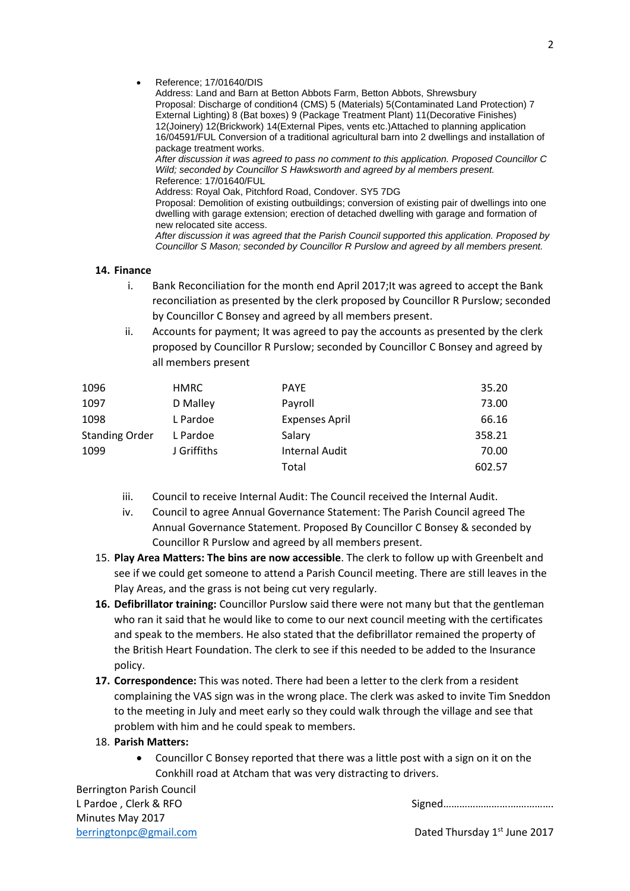Reference; 17/01640/DIS

Address: Land and Barn at Betton Abbots Farm, Betton Abbots, Shrewsbury Proposal: Discharge of condition4 (CMS) 5 (Materials) 5(Contaminated Land Protection) 7 External Lighting) 8 (Bat boxes) 9 (Package Treatment Plant) 11(Decorative Finishes) 12(Joinery) 12(Brickwork) 14(External Pipes, vents etc.)Attached to planning application 16/04591/FUL Conversion of a traditional agricultural barn into 2 dwellings and installation of package treatment works.

*After discussion it was agreed to pass no comment to this application. Proposed Councillor C Wild; seconded by Councillor S Hawksworth and agreed by al members present.* Reference: 17/01640/FUL

Address: Royal Oak, Pitchford Road, Condover. SY5 7DG

Proposal: Demolition of existing outbuildings; conversion of existing pair of dwellings into one dwelling with garage extension; erection of detached dwelling with garage and formation of new relocated site access.

*After discussion it was agreed that the Parish Council supported this application. Proposed by Councillor S Mason; seconded by Councillor R Purslow and agreed by all members present.*

## **14. Finance**

- i. Bank Reconciliation for the month end April 2017;It was agreed to accept the Bank reconciliation as presented by the clerk proposed by Councillor R Purslow; seconded by Councillor C Bonsey and agreed by all members present.
- ii. Accounts for payment; It was agreed to pay the accounts as presented by the clerk proposed by Councillor R Purslow; seconded by Councillor C Bonsey and agreed by all members present

| 1096                  | <b>HMRC</b> | <b>PAYE</b>           | 35.20  |
|-----------------------|-------------|-----------------------|--------|
| 1097                  | D Malley    | Payroll               | 73.00  |
| 1098                  | L Pardoe    | <b>Expenses April</b> | 66.16  |
| <b>Standing Order</b> | L Pardoe    | Salary                | 358.21 |
| 1099                  | J Griffiths | Internal Audit        | 70.00  |
|                       |             | Total                 | 602.57 |

- iii. Council to receive Internal Audit: The Council received the Internal Audit.
- iv. Council to agree Annual Governance Statement: The Parish Council agreed The Annual Governance Statement. Proposed By Councillor C Bonsey & seconded by Councillor R Purslow and agreed by all members present.
- 15. **Play Area Matters: The bins are now accessible**. The clerk to follow up with Greenbelt and see if we could get someone to attend a Parish Council meeting. There are still leaves in the Play Areas, and the grass is not being cut very regularly.
- **16. Defibrillator training:** Councillor Purslow said there were not many but that the gentleman who ran it said that he would like to come to our next council meeting with the certificates and speak to the members. He also stated that the defibrillator remained the property of the British Heart Foundation. The clerk to see if this needed to be added to the Insurance policy.
- **17. Correspondence:** This was noted. There had been a letter to the clerk from a resident complaining the VAS sign was in the wrong place. The clerk was asked to invite Tim Sneddon to the meeting in July and meet early so they could walk through the village and see that problem with him and he could speak to members.

## 18. **Parish Matters:**

 Councillor C Bonsey reported that there was a little post with a sign on it on the Conkhill road at Atcham that was very distracting to drivers.

Berrington Parish Council Minutes May 2017

L Pardoe , Clerk & RFO Signed…………………….…………….

[berringtonpc@gmail.com](mailto:berringtonpc@gmail.com) **Dated Thursday 1<sup>st</sup> June 2017**